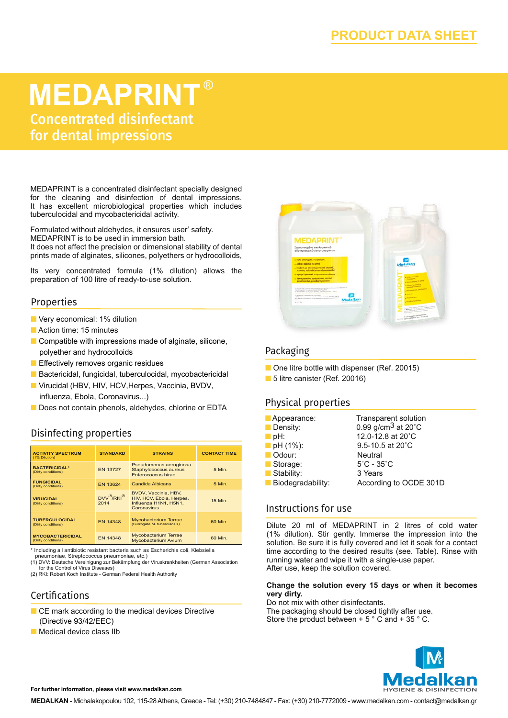# **MEDAPRINT** ®

Concentrated disinfectant for dental impressions

MEDAPRINT is a concentrated disinfectant specially designed for the cleaning and disinfection of dental impressions. It has excellent microbiological properties which includes tuberculocidal and mycobactericidal activity.

Formulated without aldehydes, it ensures user' safety. MEDAPRINT is to be used in immersion bath. It does not affect the precision or dimensional stability of dental

prints made of alginates, silicones, polyethers or hydrocolloids,

Its very concentrated formula (1% dilution) allows the preparation of 100 litre of ready-to-use solution.

#### Properties

- **N** Very economical: 1% dilution
- $\blacksquare$  Action time: 15 minutes
- $\blacksquare$  Compatible with impressions made of alginate, silicone, polyether and hydrocolloids
- **n** Effectively removes organic residues
- Bactericidal, fungicidal, tuberculocidal, mycobactericidal
- Virucidal (HBV, HIV, HCV, Herpes, Vaccinia, BVDV, influenza, Εbola, Coronavirus...)
- Does not contain phenols, aldehydes, chlorine or EDTA

## Disinfecting properties

| <b>ACTIVITY SPECTRUM</b><br>(1% Dilution)     | <b>STANDARD</b>               | <b>STRAINS</b>                                                                           | <b>CONTACT TIME</b> |
|-----------------------------------------------|-------------------------------|------------------------------------------------------------------------------------------|---------------------|
| <b>BACTERICIDAL*</b><br>(Dirty conditions)    | <b>FN 13727</b>               | Pseudomonas aeruginosa<br>Staphylococcus aureus<br>Enterococcus hirae                    | 5 Min.              |
| <b>FUNGICIDAL</b><br>(Dirty conditions)       | <b>FN 13624</b>               | <b>Candida Albicans</b>                                                                  | 5 Min.              |
| <b>VIRUCIDAL</b><br>(Dirty conditions)        | $DVV^{(1)}/RKI^{(2)}$<br>2014 | BVDV, Vaccinia, HBV,<br>HIV, HCV, Ebola, Herpes,<br>Influenza H1N1, H5N1.<br>Coronavirus | 15 Min.             |
| <b>TUBERCULOCIDAL</b><br>(Dirty conditions)   | <b>FN 14348</b>               | <b>Mycobacterium Terrae</b><br>(Surrogate M. tuberculosis)                               | 60 Min.             |
| <b>MYCOBACTERICIDAL</b><br>(Dirty conditions) | <b>EN 14348</b>               | <b>Mycobacterium Terrae</b><br>Mycobacterium Avium                                       | 60 Min.             |

\* Including all antibiotic resistant bacteria such as Escherichia coli, Klebsiella

pneumoniae, Streptococcus pneumoniae, etc.)

(1) DVV: Deutsche Vereinigung zur Bekämpfung der Viruskrankheiten (German Association for the Control of Virus Diseases)

(2) RKI: Robert Koch Institute - German Federal Health Authority

#### Certifications

- CE mark according to the medical devices Directive (Directive 93/42/EEC)
- $\blacksquare$  Medical device class IIb



### Packaging

- One litre bottle with dispenser (Ref. 20015)
- 5 litre canister (Ref. 20016)

#### Physical properties

| Appearance:             | <b>Transparent solution</b>              |
|-------------------------|------------------------------------------|
| Density:                | 0.99 g/cm <sup>3</sup> at $20^{\circ}$ C |
| pH:                     | 12.0-12.8 at 20°C                        |
| $\blacksquare$ pH (1%): | 9.5-10.5 at 20°C                         |
| Odour:                  | <b>Neutral</b>                           |
| Storage:                | $5^{\circ}$ C - 35 $^{\circ}$ C          |
| Stability:              | 3 Years                                  |
| Biodegradability:       | According to OCDE 301D                   |

#### Instructions for use

Dilute 20 ml of MEDAPRINT in 2 litres of cold water (1% dilution). Stir gently. Immerse the impression into the solution. Be sure it is fully covered and let it soak for a contact time according to the desired results (see. Table). Rinse with running water and wipe it with a single-use paper. After use, keep the solution covered.

#### **Change the solution every 15 days or when it becomes very dirty.**

Do not mix with other disinfectants. The packaging should be closed tightly after use. Store the product between + 5 ° C and + 35 ° C.



#### **For further information, please visit www.medalkan.com**